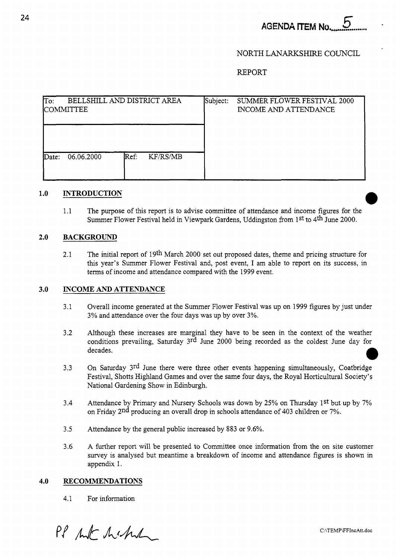**AGENDA ITEM No.** 

# NORTH LANARKSHIRE COUNCIL

REPORT

| $\overline{\text{To:}}$<br>BELLSHILL AND DISTRICT AREA<br><b>COMMITTEE</b> | Subject:<br>SUMMER FLOWER FESTIVAL 2000<br>INCOME AND ATTENDANCE |
|----------------------------------------------------------------------------|------------------------------------------------------------------|
|                                                                            |                                                                  |
| $\mathbb{R}$ ef:<br><b>KF/RS/MB</b><br>06.06.2000<br>Date:                 |                                                                  |

#### **1.0 INTRODUCTION**

~ ~~~~~

1.1 The purpose of this report is to advise committee of attendance and income figures for the Summer Flower Festival held in Viewpark Gardens, Uddingston from 1st to 4th June 2000.

#### **2.0 BACKGROUND**

2.1 The initial report of 19<sup>th</sup> March 2000 set out proposed dates, theme and pricing structure for this year's Summer Flower Festival and, post event, I am able to report on its success, in terms of income and attendance compared with the 1999 event.

### **3.0 INCOME** *AND* **ATTENDANCE**

- 3.1 Overall income generated at the Summer Flower Festival was up on 1999 figures by just under 3% and attendance over the four days was up by over 3%.
- 3.2 Although these increases are marginal they have to be seen in the context of the weather conditions prevailing, Saturday 3rd June 2000 being recorded as the coldest June day for decades.
- 3.3 On Saturday 3rd June there were three other events happening simultaneously, Coatbridge Festival, Shotts Highland Games and over the same four days, the Royal Horticultural Society's National Gardening Show in Edinburgh.
- 3.4 Attendance by Primary and Nursery Schools was down by 25% on Thursday 1st but up by **7%**  on Friday 2nd producing an overall drop in schools attendance of 403 children or **7%.**
- 3.5 Attendance by the general public increased by 883 or 9.6%.
- 3.6 A further report will be presented to Committee once information from the on site customer survey is analysed but meantime a breakdown of income and attendance figures is shown in appendix 1.

#### **4.0 RECOMMENDATIONS**

4.1 For information

PP Aut hehed

24